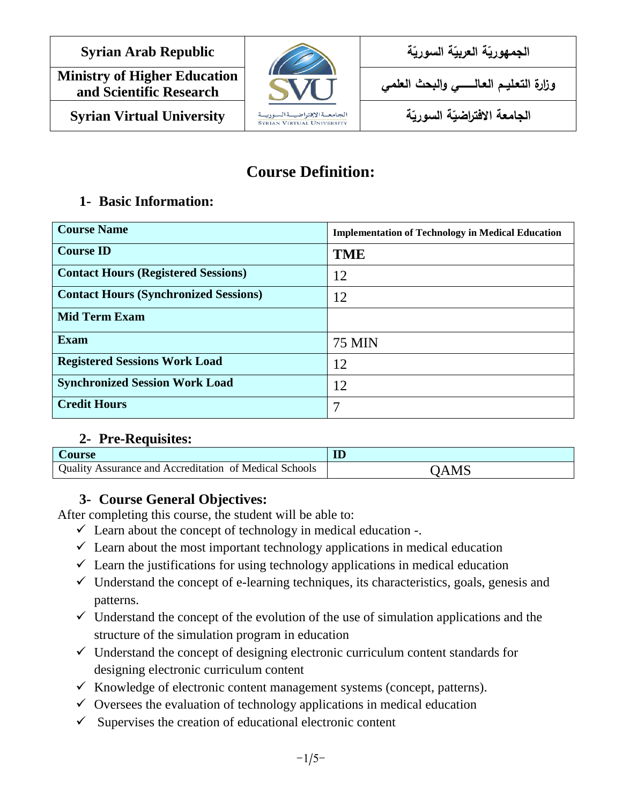**Ministry of Higher Education** and Scientific Research **Syrian Virtual University ةّ**



ا**لجمهوريّة العربيّة السوري**ّ **وزارة التعـليــم العـالـــــــــي والبحث العلمي**

ا<mark>لجامعة الافتراضيّة السوريّ</mark>

# **Course Definition:**

### **1- Basic Information:**

| <b>Course Name</b>                           | <b>Implementation of Technology in Medical Education</b> |
|----------------------------------------------|----------------------------------------------------------|
| <b>Course ID</b>                             | <b>TME</b>                                               |
| <b>Contact Hours (Registered Sessions)</b>   | 12                                                       |
| <b>Contact Hours (Synchronized Sessions)</b> | 12                                                       |
| <b>Mid Term Exam</b>                         |                                                          |
| <b>Exam</b>                                  | 75 MIN                                                   |
| <b>Registered Sessions Work Load</b>         | 12                                                       |
| <b>Synchronized Session Work Load</b>        | 12                                                       |
| <b>Credit Hours</b>                          | 7                                                        |

### **2- Pre-Requisites:**

| <b>Course</b>                                          | ID   |
|--------------------------------------------------------|------|
| Quality Assurance and Accreditation of Medical Schools | OAMS |

# **3- Course General Objectives:**

After completing this course, the student will be able to:

- $\checkmark$  Learn about the concept of technology in medical education -.
- $\checkmark$  Learn about the most important technology applications in medical education
- $\checkmark$  Learn the justifications for using technology applications in medical education
- $\checkmark$  Understand the concept of e-learning techniques, its characteristics, goals, genesis and patterns.
- $\checkmark$  Understand the concept of the evolution of the use of simulation applications and the structure of the simulation program in education
- $\checkmark$  Understand the concept of designing electronic curriculum content standards for designing electronic curriculum content
- $\checkmark$  Knowledge of electronic content management systems (concept, patterns).
- $\checkmark$  Oversees the evaluation of technology applications in medical education
- $\checkmark$  Supervises the creation of educational electronic content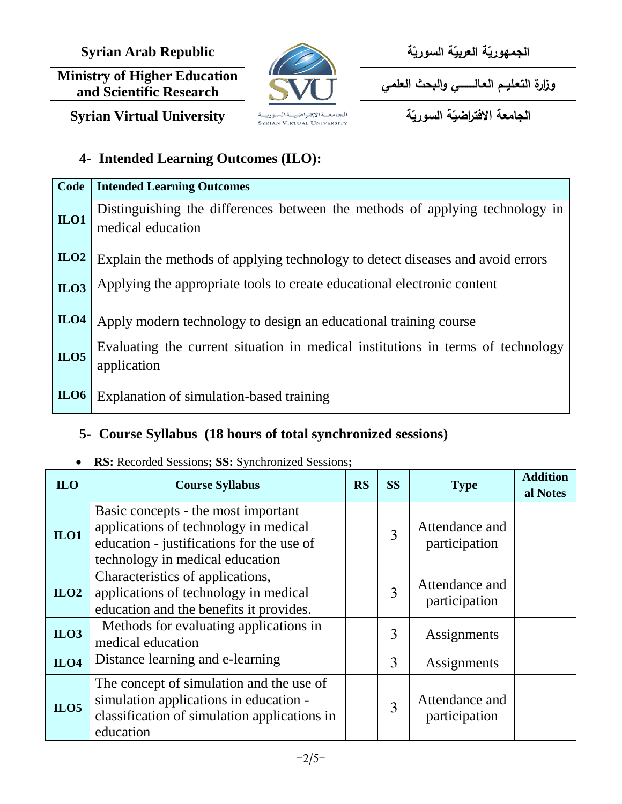**Ministry of Higher Education and Scientific Research** 



ا**لجمهوريّة العربيّة السوري**ّ

**وزارة التعـليــم العـالـــــــــي والبحث العلمي**

ا<mark>لجامعة الافتراضيّة السوريّ</mark>

**Syrian Virtual University ةّ**

# **4- Intended Learning Outcomes (ILO):**

| Code       | <b>Intended Learning Outcomes</b>                                                                 |
|------------|---------------------------------------------------------------------------------------------------|
| ILO1       | Distinguishing the differences between the methods of applying technology in<br>medical education |
| ILO2       | Explain the methods of applying technology to detect diseases and avoid errors                    |
| ILO3       | Applying the appropriate tools to create educational electronic content                           |
| ILO4       | Apply modern technology to design an educational training course                                  |
| ILO5       | Evaluating the current situation in medical institutions in terms of technology<br>application    |
| $_{II.06}$ | Explanation of simulation-based training                                                          |

## **5- Course Syllabus (18 hours of total synchronized sessions)**

#### **Addition a ILO Course Syllabus RS SS I Properties I RS I SS I COURS EXECUTE:** Attendance and  $\begin{array}{c|c}\n3 & \text{auton} \\
\end{array}$  participation Basic concepts - the most important applications of technology in medical education - justifications for the use of technology in medical education **ILO1** Attendance and  $\begin{array}{c|c}\n3 & \text{auton} \\
\end{array}$  participation Characteristics of applications, applications of technology in medical education and the benefits it provides. **ILO2** Methods for evaluating applications in  $\begin{vmatrix} 3 & 3 \end{vmatrix}$  Assignments **ILO3** medical education **ILO4** Distance learning and e-learning **ILO4** 3 Assignments Attendance and  $\begin{array}{c|c}\n3 & \text{auton} \\
\end{array}$  participation The concept of simulation and the use of simulation applications in education classification of simulation applications in education **ILO5**

### **RS:** Recorded Sessions**; SS:** Synchronized Sessions**;**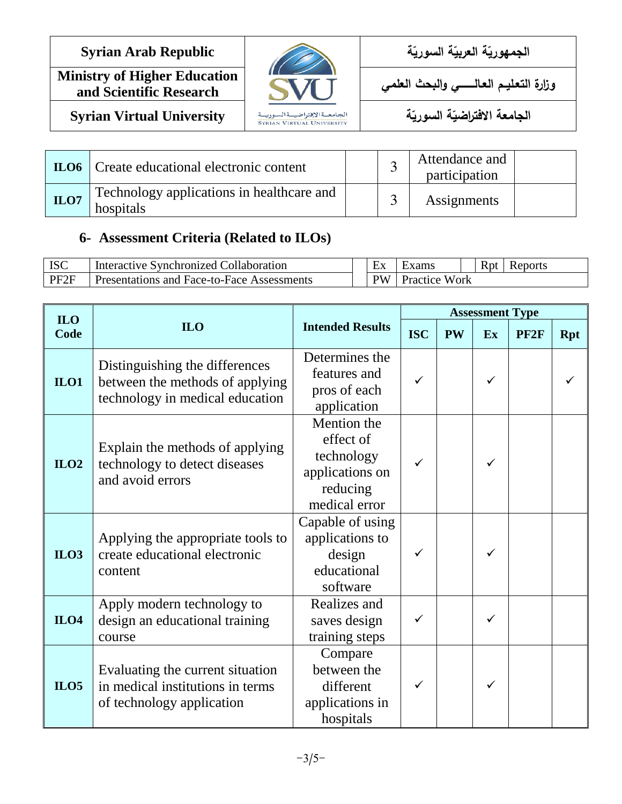**Ministry of Higher Education** and Scientific Research



ا**لجمهوريّة العربيّة السوري**ّ

**وزارة التعـليــم العـالـــــــــي والبحث العلمي**

ا<mark>لجامعة الافتراضيّة السوريّ</mark>

**Syrian Virtual University** *a* **i syrian Virtual University** *s syrian VIRTUAL UNIVERSITY* 

|      | <b>ILO6</b>   Create educational electronic content    | ت | Attendance and<br>participation |  |
|------|--------------------------------------------------------|---|---------------------------------|--|
| ILO7 | Technology applications in healthcare and<br>hospitals | ◠ | Assignments                     |  |

### **6- Assessment Criteria (Related to ILOs)**

| <b>ISC</b>       | Interactive Synchronized Collaboration            | ЕX             | Exams                | <b>R</b> <sub>p</sub> t | Reports |
|------------------|---------------------------------------------------|----------------|----------------------|-------------------------|---------|
| PF <sub>2F</sub> | <b>Presentations and Face-to-Face Assessments</b> | $\mathbf{P}$ W | <b>Practice Work</b> |                         |         |

| <b>ILO</b>  |                                                                                                      |                                                                                        | <b>Assessment Type</b> |           |    |                  |            |
|-------------|------------------------------------------------------------------------------------------------------|----------------------------------------------------------------------------------------|------------------------|-----------|----|------------------|------------|
| Code        | <b>ILO</b>                                                                                           | <b>Intended Results</b>                                                                | <b>ISC</b>             | <b>PW</b> | Ex | PF <sub>2F</sub> | <b>Rpt</b> |
| $II$ . $O1$ | Distinguishing the differences<br>between the methods of applying<br>technology in medical education | Determines the<br>features and<br>pros of each<br>application                          | ✓                      |           | ✓  |                  |            |
| ILO2        | Explain the methods of applying<br>technology to detect diseases<br>and avoid errors                 | Mention the<br>effect of<br>technology<br>applications on<br>reducing<br>medical error |                        |           | ✓  |                  |            |
| ILO3        | Applying the appropriate tools to<br>create educational electronic<br>content                        | Capable of using<br>applications to<br>design<br>educational<br>software               | ✓                      |           | ✓  |                  |            |
| ILO4        | Apply modern technology to<br>design an educational training<br>course                               | Realizes and<br>saves design<br>training steps                                         |                        |           | ✓  |                  |            |
| ILO5        | Evaluating the current situation<br>in medical institutions in terms<br>of technology application    | Compare<br>between the<br>different<br>applications in<br>hospitals                    |                        |           |    |                  |            |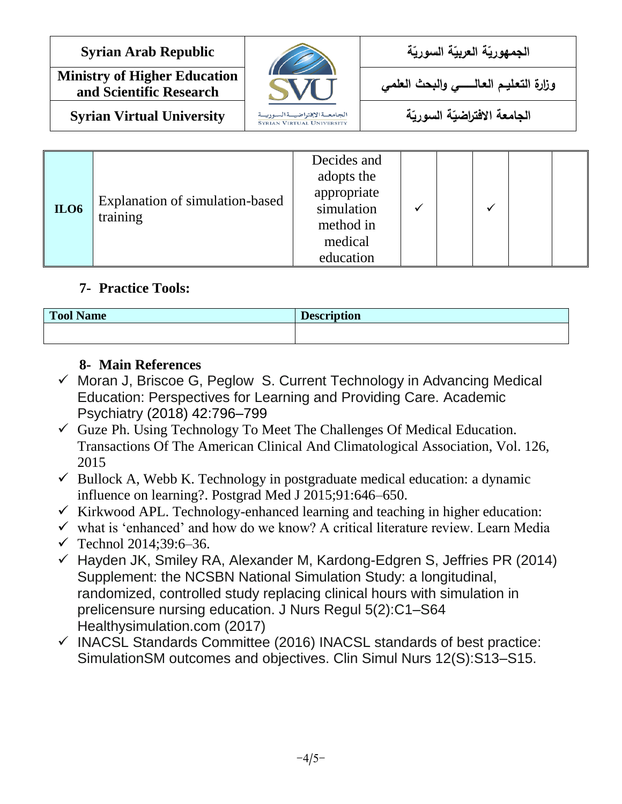**Ministry of Higher Education** and Scientific Research



ا**لجمهوريّة العربيّة السوري**ّ

**وزارة التعـليــم العـالـــــــــي والبحث العلمي**

**Syrian Virtual University ةّ**

ا<mark>لجامعة الافتراضيّة السوريّ</mark>

| <b>ILO6</b> | Explanation of simulation-based<br>training | Decides and<br>adopts the<br>appropriate<br>simulation<br>method in<br>medical<br>education |  |  |  |  |  |
|-------------|---------------------------------------------|---------------------------------------------------------------------------------------------|--|--|--|--|--|
|-------------|---------------------------------------------|---------------------------------------------------------------------------------------------|--|--|--|--|--|

## **7- Practice Tools:**

| <b>Tool Name</b> | <b>Description</b> |
|------------------|--------------------|
|                  |                    |

# **8- Main References**

- $\checkmark$  Moran J, Briscoe G, Peglow S. Current Technology in Advancing Medical Education: Perspectives for Learning and Providing Care. Academic Psychiatry (2018) 42:796–799
- $\checkmark$  Guze Ph. Using Technology To Meet The Challenges Of Medical Education. Transactions Of The American Clinical And Climatological Association, Vol. 126, 2015
- $\checkmark$  Bullock A, Webb K. Technology in postgraduate medical education: a dynamic influence on learning?. Postgrad Med J 2015;91:646–650.
- $\checkmark$  Kirkwood APL. Technology-enhanced learning and teaching in higher education:
- $\checkmark$  what is 'enhanced' and how do we know? A critical literature review. Learn Media
- $\checkmark$  Technol 2014:39:6-36.
- $\checkmark$  Hayden JK, Smiley RA, Alexander M, Kardong-Edgren S, Jeffries PR (2014) Supplement: the NCSBN National Simulation Study: a longitudinal, randomized, controlled study replacing clinical hours with simulation in prelicensure nursing education. J Nurs Regul 5(2):C1–S64 Healthysimulation.com (2017)
- $\checkmark$  INACSL Standards Committee (2016) INACSL standards of best practice: SimulationSM outcomes and objectives. Clin Simul Nurs 12(S):S13–S15.